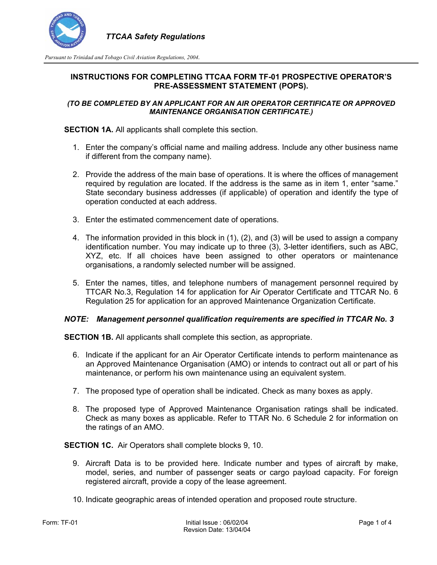

*Pursuant to Trinidad and Tobago Civil Aviation Regulations, 2004.* 

## **INSTRUCTIONS FOR COMPLETING TTCAA FORM TF-01 PROSPECTIVE OPERATOR'S PRE-ASSESSMENT STATEMENT (POPS).**

### *(TO BE COMPLETED BY AN APPLICANT FOR AN AIR OPERATOR CERTIFICATE OR APPROVED MAINTENANCE ORGANISATION CERTIFICATE.)*

**SECTION 1A.** All applicants shall complete this section.

- 1. Enter the company's official name and mailing address. Include any other business name if different from the company name).
- 2. Provide the address of the main base of operations. It is where the offices of management required by regulation are located. If the address is the same as in item 1, enter "same." State secondary business addresses (if applicable) of operation and identify the type of operation conducted at each address.
- 3. Enter the estimated commencement date of operations.
- 4. The information provided in this block in (1), (2), and (3) will be used to assign a company identification number. You may indicate up to three (3), 3-letter identifiers, such as ABC, XYZ, etc. If all choices have been assigned to other operators or maintenance organisations, a randomly selected number will be assigned.
- 5. Enter the names, titles, and telephone numbers of management personnel required by TTCAR No.3, Regulation 14 for application for Air Operator Certificate and TTCAR No. 6 Regulation 25 for application for an approved Maintenance Organization Certificate.

### *NOTE: Management personnel qualification requirements are specified in TTCAR No. 3*

**SECTION 1B.** All applicants shall complete this section, as appropriate.

- 6. Indicate if the applicant for an Air Operator Certificate intends to perform maintenance as an Approved Maintenance Organisation (AMO) or intends to contract out all or part of his maintenance, or perform his own maintenance using an equivalent system.
- 7. The proposed type of operation shall be indicated. Check as many boxes as apply.
- 8. The proposed type of Approved Maintenance Organisation ratings shall be indicated. Check as many boxes as applicable. Refer to TTAR No. 6 Schedule 2 for information on the ratings of an AMO.

**SECTION 1C.** Air Operators shall complete blocks 9, 10.

- 9. Aircraft Data is to be provided here. Indicate number and types of aircraft by make, model, series, and number of passenger seats or cargo payload capacity. For foreign registered aircraft, provide a copy of the lease agreement.
- 10. Indicate geographic areas of intended operation and proposed route structure.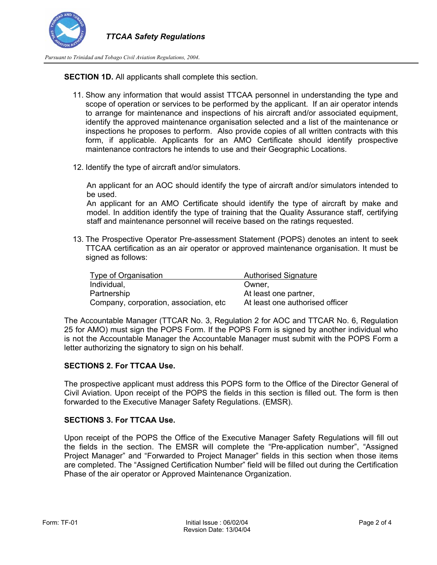

*Pursuant to Trinidad and Tobago Civil Aviation Regulations, 2004.* 

**SECTION 1D.** All applicants shall complete this section.

- 11. Show any information that would assist TTCAA personnel in understanding the type and scope of operation or services to be performed by the applicant. If an air operator intends to arrange for maintenance and inspections of his aircraft and/or associated equipment, identify the approved maintenance organisation selected and a list of the maintenance or inspections he proposes to perform. Also provide copies of all written contracts with this form, if applicable. Applicants for an AMO Certificate should identify prospective maintenance contractors he intends to use and their Geographic Locations.
- 12. Identify the type of aircraft and/or simulators.

An applicant for an AOC should identify the type of aircraft and/or simulators intended to be used.

An applicant for an AMO Certificate should identify the type of aircraft by make and model. In addition identify the type of training that the Quality Assurance staff, certifying staff and maintenance personnel will receive based on the ratings requested.

13. The Prospective Operator Pre-assessment Statement (POPS) denotes an intent to seek TTCAA certification as an air operator or approved maintenance organisation. It must be signed as follows:

| Type of Organisation                   | <b>Authorised Signature</b>     |
|----------------------------------------|---------------------------------|
| Individual,                            | Owner,                          |
| Partnership                            | At least one partner,           |
| Company, corporation, association, etc | At least one authorised officer |

The Accountable Manager (TTCAR No. 3, Regulation 2 for AOC and TTCAR No. 6, Regulation 25 for AMO) must sign the POPS Form. If the POPS Form is signed by another individual who is not the Accountable Manager the Accountable Manager must submit with the POPS Form a letter authorizing the signatory to sign on his behalf.

## **SECTIONS 2. For TTCAA Use.**

The prospective applicant must address this POPS form to the Office of the Director General of Civil Aviation. Upon receipt of the POPS the fields in this section is filled out. The form is then forwarded to the Executive Manager Safety Regulations. (EMSR).

### **SECTIONS 3. For TTCAA Use.**

Upon receipt of the POPS the Office of the Executive Manager Safety Regulations will fill out the fields in the section. The EMSR will complete the "Pre-application number", "Assigned Project Manager" and "Forwarded to Project Manager" fields in this section when those items are completed. The "Assigned Certification Number" field will be filled out during the Certification Phase of the air operator or Approved Maintenance Organization.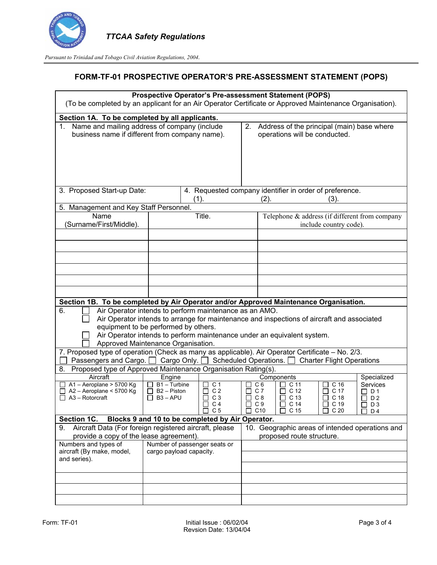

*Pursuant to Trinidad and Tobago Civil Aviation Regulations, 2004.* 

# **FORM-TF-01 PROSPECTIVE OPERATOR'S PRE-ASSESSMENT STATEMENT (POPS)**

| Prospective Operator's Pre-assessment Statement (POPS)<br>(To be completed by an applicant for an Air Operator Certificate or Approved Maintenance Organisation). |                                                                         |                                                                                            |            |                                                                                |                         |                              |                                                 |  |
|-------------------------------------------------------------------------------------------------------------------------------------------------------------------|-------------------------------------------------------------------------|--------------------------------------------------------------------------------------------|------------|--------------------------------------------------------------------------------|-------------------------|------------------------------|-------------------------------------------------|--|
|                                                                                                                                                                   |                                                                         |                                                                                            |            |                                                                                |                         |                              |                                                 |  |
| Section 1A. To be completed by all applicants.<br>Name and mailing address of company (include<br>1.<br>business name if different from company name).            |                                                                         |                                                                                            |            | 2. Address of the principal (main) base where<br>operations will be conducted. |                         |                              |                                                 |  |
| 3. Proposed Start-up Date:                                                                                                                                        |                                                                         | 4. Requested company identifier in order of preference.                                    |            |                                                                                |                         |                              |                                                 |  |
| 5. Management and Key Staff Personnel.                                                                                                                            |                                                                         | (1).                                                                                       |            | (2).                                                                           |                         | (3).                         |                                                 |  |
| Name<br>(Surname/First/Middle).                                                                                                                                   | Title.                                                                  |                                                                                            |            | Telephone & address (if different from company<br>include country code).       |                         |                              |                                                 |  |
|                                                                                                                                                                   |                                                                         |                                                                                            |            |                                                                                |                         |                              |                                                 |  |
|                                                                                                                                                                   |                                                                         |                                                                                            |            |                                                                                |                         |                              |                                                 |  |
|                                                                                                                                                                   |                                                                         |                                                                                            |            |                                                                                |                         |                              |                                                 |  |
| Section 1B. To be completed by Air Operator and/or Approved Maintenance Organisation.                                                                             |                                                                         |                                                                                            |            |                                                                                |                         |                              |                                                 |  |
| Air Operator intends to perform maintenance as an AMO.<br>6.                                                                                                      |                                                                         |                                                                                            |            |                                                                                |                         |                              |                                                 |  |
|                                                                                                                                                                   |                                                                         | Air Operator intends to arrange for maintenance and inspections of aircraft and associated |            |                                                                                |                         |                              |                                                 |  |
| equipment to be performed by others.                                                                                                                              |                                                                         | Air Operator intends to perform maintenance under an equivalent system.                    |            |                                                                                |                         |                              |                                                 |  |
| Approved Maintenance Organisation.                                                                                                                                |                                                                         |                                                                                            |            |                                                                                |                         |                              |                                                 |  |
| 7. Proposed type of operation (Check as many as applicable). Air Operator Certificate - No. 2/3.                                                                  |                                                                         |                                                                                            |            |                                                                                |                         |                              |                                                 |  |
| Passengers and Cargo. <u>□</u> Cargo Only. □ Scheduled Operations. □<br><b>Charter Flight Operations</b>                                                          |                                                                         |                                                                                            |            |                                                                                |                         |                              |                                                 |  |
| Proposed type of Approved Maintenance Organisation Rating(s).<br>8.                                                                                               |                                                                         |                                                                                            |            |                                                                                |                         |                              |                                                 |  |
| Aircraft<br>A1-Aeroplane > 5700 Kg                                                                                                                                | Engine<br>$B1 -$ Turbine                                                | C <sub>1</sub>                                                                             |            | Components<br>C <sub>6</sub>                                                   | C <sub>11</sub>         | C <sub>16</sub>              | Specialized<br>Services                         |  |
| A2 - Aeroplane < 5700 Kg                                                                                                                                          | B <sub>2</sub> – Piston                                                 | C <sub>2</sub>                                                                             |            | C 7                                                                            | C 12                    | C <sub>17</sub>              | D <sub>1</sub>                                  |  |
| A3 - Rotorcraft                                                                                                                                                   | П<br>$B3 - APU$                                                         | C <sub>3</sub><br>C <sub>4</sub><br>$\perp$                                                | П          | C 8<br>C <sub>9</sub><br>П                                                     | C <sub>13</sub><br>C 14 | C <sub>18</sub><br>П<br>C 19 | D <sub>2</sub><br>D <sub>3</sub><br>П           |  |
|                                                                                                                                                                   |                                                                         | C <sub>5</sub><br>$\Box$                                                                   | $\Box$ C10 |                                                                                | C 15                    | C <sub>20</sub>              | D 4                                             |  |
| Section 1C.                                                                                                                                                       |                                                                         | Blocks 9 and 10 to be completed by Air Operator.                                           |            |                                                                                |                         |                              |                                                 |  |
| Aircraft Data (For foreign registered aircraft, please<br>9.                                                                                                      |                                                                         |                                                                                            |            |                                                                                |                         |                              | 10. Geographic areas of intended operations and |  |
| Numbers and types of                                                                                                                                              | provide a copy of the lease agreement).<br>Number of passenger seats or |                                                                                            |            | proposed route structure.                                                      |                         |                              |                                                 |  |
| aircraft (By make, model,                                                                                                                                         | cargo payload capacity.                                                 |                                                                                            |            |                                                                                |                         |                              |                                                 |  |
| and series).                                                                                                                                                      |                                                                         |                                                                                            |            |                                                                                |                         |                              |                                                 |  |
|                                                                                                                                                                   |                                                                         |                                                                                            |            |                                                                                |                         |                              |                                                 |  |
|                                                                                                                                                                   |                                                                         |                                                                                            |            |                                                                                |                         |                              |                                                 |  |
|                                                                                                                                                                   |                                                                         |                                                                                            |            |                                                                                |                         |                              |                                                 |  |
|                                                                                                                                                                   |                                                                         |                                                                                            |            |                                                                                |                         |                              |                                                 |  |